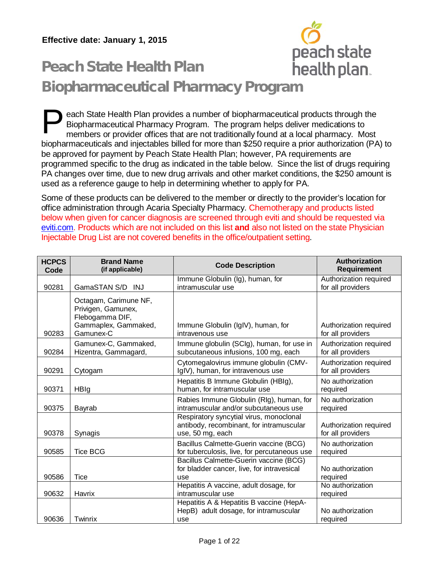

## Peach State Health Plan Biopharmaceutical Pharmacy Program

each State Health Plan provides a number of biopharmaceutical products through the Biopharmaceutical Pharmacy Program. The program helps deliver medications to members or provider offices that are not traditionally found at a local pharmacy. Most biopharmaceuticals and injectables billed for more than \$250 require a prior authorization (PA) to be approved for payment by Peach State Health Plan; however, PA requirements are programmed specific to the drug as indicated in the table below. Since the list of drugs requiring PA changes over time, due to new drug arrivals and other market conditions, the \$250 amount is used as a reference gauge to help in determining whether to apply for PA. P

Some of these products can be delivered to the member or directly to the provider's location for office administration through Acaria Specialty Pharmacy. Chemotherapy and products listed below when given for cancer diagnosis are screened through eviti and should be requested via [eviti.com.](http://www.eviti.com/) Products which are not included on this list **and** also not listed on the state Physician Injectable Drug List are not covered benefits in the office/outpatient setting.

| <b>HCPCS</b><br>Code | <b>Brand Name</b><br>(if applicable)                                                                | <b>Code Description</b>                                                                                 | Authorization<br><b>Requirement</b>         |
|----------------------|-----------------------------------------------------------------------------------------------------|---------------------------------------------------------------------------------------------------------|---------------------------------------------|
| 90281                | GamaSTAN S/D INJ                                                                                    | Immune Globulin (Ig), human, for<br>intramuscular use                                                   | Authorization required<br>for all providers |
| 90283                | Octagam, Carimune NF,<br>Privigen, Gamunex,<br>Flebogamma DIF,<br>Gammaplex, Gammaked,<br>Gamunex-C | Immune Globulin (IgIV), human, for<br>intravenous use                                                   | Authorization required<br>for all providers |
| 90284                | Gamunex-C, Gammaked,<br>Hizentra, Gammagard,                                                        | Immune globulin (SCIg), human, for use in<br>subcutaneous infusions, 100 mg, each                       | Authorization required<br>for all providers |
| 90291                | Cytogam                                                                                             | Cytomegalovirus immune globulin (CMV-<br>IgIV), human, for intravenous use                              | Authorization required<br>for all providers |
| 90371                | HBIg                                                                                                | Hepatitis B Immune Globulin (HBIg),<br>human, for intramuscular use                                     | No authorization<br>required                |
| 90375                | Bayrab                                                                                              | Rabies Immune Globulin (RIg), human, for<br>intramuscular and/or subcutaneous use                       | No authorization<br>required                |
| 90378                | Synagis                                                                                             | Respiratory syncytial virus, monoclonal<br>antibody, recombinant, for intramuscular<br>use, 50 mg, each | Authorization required<br>for all providers |
| 90585                | <b>Tice BCG</b>                                                                                     | Bacillus Calmette-Guerin vaccine (BCG)<br>for tuberculosis, live, for percutaneous use                  | No authorization<br>required                |
| 90586                | <b>Tice</b>                                                                                         | Bacillus Calmette-Guerin vaccine (BCG)<br>for bladder cancer, live, for intravesical<br>use             | No authorization<br>required                |
| 90632                | Havrix                                                                                              | Hepatitis A vaccine, adult dosage, for<br>intramuscular use                                             | No authorization<br>required                |
| 90636                | Twinrix                                                                                             | Hepatitis A & Hepatitis B vaccine (HepA-<br>HepB) adult dosage, for intramuscular<br>use                | No authorization<br>required                |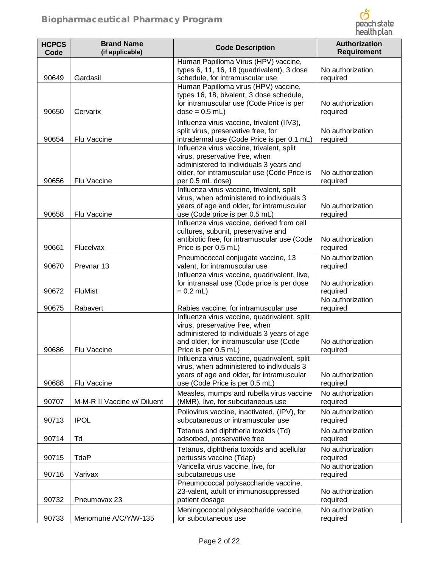

| <b>HCPCS</b><br>Code | <b>Brand Name</b><br>(if applicable) | <b>Code Description</b>                                                                                                                                                                        | Authorization<br><b>Requirement</b> |
|----------------------|--------------------------------------|------------------------------------------------------------------------------------------------------------------------------------------------------------------------------------------------|-------------------------------------|
| 90649                | Gardasil                             | Human Papilloma Virus (HPV) vaccine,<br>types 6, 11, 16, 18 (quadrivalent), 3 dose<br>schedule, for intramuscular use                                                                          | No authorization<br>required        |
| 90650                | Cervarix                             | Human Papilloma virus (HPV) vaccine,<br>types 16, 18, bivalent, 3 dose schedule,<br>for intramuscular use (Code Price is per<br>$dose = 0.5$ mL)                                               | No authorization<br>required        |
| 90654                | Flu Vaccine                          | Influenza virus vaccine, trivalent (IIV3),<br>split virus, preservative free, for<br>intradermal use (Code Price is per 0.1 mL)                                                                | No authorization<br>required        |
| 90656                | Flu Vaccine                          | Influenza virus vaccine, trivalent, split<br>virus, preservative free, when<br>administered to individuals 3 years and<br>older, for intramuscular use (Code Price is<br>per 0.5 mL dose)      | No authorization<br>required        |
| 90658                | Flu Vaccine                          | Influenza virus vaccine, trivalent, split<br>virus, when administered to individuals 3<br>years of age and older, for intramuscular<br>use (Code price is per 0.5 mL)                          | No authorization<br>required        |
| 90661                | Flucelvax                            | Influenza virus vaccine, derived from cell<br>cultures, subunit, preservative and<br>antibiotic free, for intramuscular use (Code<br>Price is per 0.5 mL)                                      | No authorization<br>required        |
| 90670                | Prevnar <sub>13</sub>                | Pneumococcal conjugate vaccine, 13<br>valent, for intramuscular use<br>Influenza virus vaccine, quadrivalent, live,                                                                            | No authorization<br>required        |
| 90672                | <b>FluMist</b>                       | for intranasal use (Code price is per dose<br>$= 0.2$ mL)                                                                                                                                      | No authorization<br>required        |
| 90675                | Rabavert                             | Rabies vaccine, for intramuscular use                                                                                                                                                          | No authorization<br>required        |
| 90686                | Flu Vaccine                          | Influenza virus vaccine, quadrivalent, split<br>virus, preservative free, when<br>administered to individuals 3 years of age<br>and older, for intramuscular use (Code<br>Price is per 0.5 mL) | No authorization<br>required        |
| 90688                | Flu Vaccine                          | Influenza virus vaccine, quadrivalent, split<br>virus, when administered to individuals 3<br>years of age and older, for intramuscular<br>use (Code Price is per 0.5 mL)                       | No authorization<br>required        |
| 90707                | M-M-R II Vaccine w/ Diluent          | Measles, mumps and rubella virus vaccine<br>(MMR), live, for subcutaneous use                                                                                                                  | No authorization<br>required        |
| 90713                | <b>IPOL</b>                          | Poliovirus vaccine, inactivated, (IPV), for<br>subcutaneous or intramuscular use                                                                                                               | No authorization<br>required        |
| 90714                | Td                                   | Tetanus and diphtheria toxoids (Td)<br>adsorbed, preservative free                                                                                                                             | No authorization<br>required        |
| 90715                | TdaP                                 | Tetanus, diphtheria toxoids and acellular<br>pertussis vaccine (Tdap)                                                                                                                          | No authorization<br>required        |
| 90716                | Varivax                              | Varicella virus vaccine, live, for<br>subcutaneous use                                                                                                                                         | No authorization<br>required        |
| 90732                | Pneumovax 23                         | Pneumococcal polysaccharide vaccine,<br>23-valent, adult or immunosuppressed<br>patient dosage                                                                                                 | No authorization<br>required        |
| 90733                | Menomune A/C/Y/W-135                 | Meningococcal polysaccharide vaccine,<br>for subcutaneous use                                                                                                                                  | No authorization<br>required        |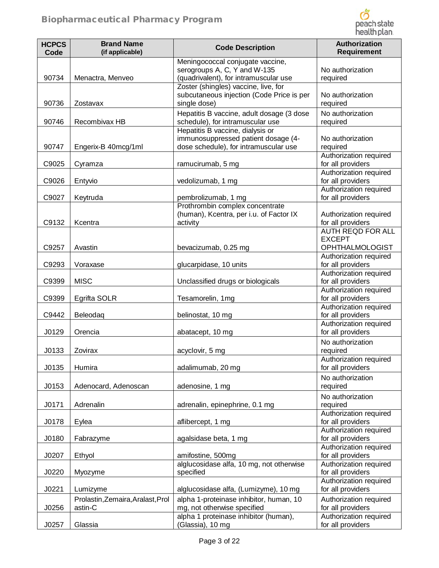

| <b>HCPCS</b><br>Code | <b>Brand Name</b><br>(if applicable)         | <b>Code Description</b>                                                                                                                           | Authorization<br>Requirement                                                             |
|----------------------|----------------------------------------------|---------------------------------------------------------------------------------------------------------------------------------------------------|------------------------------------------------------------------------------------------|
| 90734                | Menactra, Menveo                             | Meningococcal conjugate vaccine,<br>serogroups A, C, Y and W-135<br>(quadrivalent), for intramuscular use<br>Zoster (shingles) vaccine, live, for | No authorization<br>required                                                             |
| 90736                | Zostavax                                     | subcutaneous injection (Code Price is per<br>single dose)                                                                                         | No authorization<br>required                                                             |
| 90746                | Recombivax HB                                | Hepatitis B vaccine, adult dosage (3 dose<br>schedule), for intramuscular use                                                                     | No authorization<br>required                                                             |
| 90747                | Engerix-B 40mcg/1ml                          | Hepatitis B vaccine, dialysis or<br>immunosuppressed patient dosage (4-<br>dose schedule), for intramuscular use                                  | No authorization<br>required<br>Authorization required                                   |
| C9025                | Cyramza                                      | ramucirumab, 5 mg                                                                                                                                 | for all providers                                                                        |
| C9026                | Entyvio                                      | vedolizumab, 1 mg                                                                                                                                 | Authorization required<br>for all providers                                              |
| C9027                | Keytruda                                     | pembrolizumab, 1 mg                                                                                                                               | Authorization required<br>for all providers                                              |
| C9132                | Kcentra                                      | Prothrombin complex concentrate<br>(human), Kcentra, per i.u. of Factor IX<br>activity                                                            | Authorization required<br>for all providers<br><b>AUTH REQD FOR ALL</b><br><b>EXCEPT</b> |
| C9257                | Avastin                                      | bevacizumab, 0.25 mg                                                                                                                              | <b>OPHTHALMOLOGIST</b>                                                                   |
| C9293                | Voraxase                                     | glucarpidase, 10 units                                                                                                                            | Authorization required<br>for all providers<br>Authorization required                    |
| C9399                | <b>MISC</b>                                  | Unclassified drugs or biologicals                                                                                                                 | for all providers                                                                        |
| C9399                | Egrifta SOLR                                 | Tesamorelin, 1mg                                                                                                                                  | Authorization required<br>for all providers                                              |
| C9442                | Beleodaq                                     | belinostat, 10 mg                                                                                                                                 | Authorization required<br>for all providers<br>Authorization required                    |
| J0129                | Orencia                                      | abatacept, 10 mg                                                                                                                                  | for all providers                                                                        |
| J0133                | Zovirax                                      | acyclovir, 5 mg                                                                                                                                   | No authorization<br>required                                                             |
| J0135                | Humira                                       | adalimumab, 20 mg                                                                                                                                 | Authorization required<br>for all providers                                              |
| J0153                | Adenocard, Adenoscan                         | adenosine, 1 mg                                                                                                                                   | No authorization<br>required                                                             |
| J0171                | Adrenalin                                    | adrenalin, epinephrine, 0.1 mg                                                                                                                    | No authorization<br>required                                                             |
| J0178                | Eylea                                        | aflibercept, 1 mg                                                                                                                                 | Authorization required<br>for all providers                                              |
| J0180                | Fabrazyme                                    | agalsidase beta, 1 mg                                                                                                                             | Authorization required<br>for all providers                                              |
| J0207                | Ethyol                                       | amifostine, 500mg                                                                                                                                 | Authorization required<br>for all providers                                              |
| J0220                | Myozyme                                      | alglucosidase alfa, 10 mg, not otherwise<br>specified                                                                                             | Authorization required<br>for all providers                                              |
| J0221                | Lumizyme                                     | alglucosidase alfa, (Lumizyme), 10 mg                                                                                                             | Authorization required<br>for all providers                                              |
| J0256                | Prolastin, Zemaira, Aralast, Prol<br>astin-C | alpha 1-proteinase inhibitor, human, 10<br>mg, not otherwise specified                                                                            | Authorization required<br>for all providers                                              |
| J0257                | Glassia                                      | alpha 1 proteinase inhibitor (human),<br>(Glassia), 10 mg                                                                                         | Authorization required<br>for all providers                                              |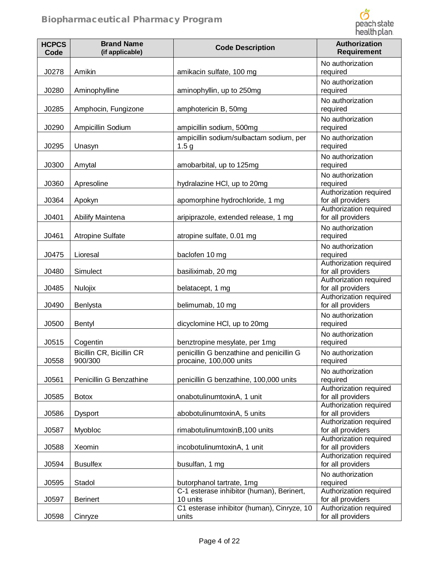

| <b>HCPCS</b><br>Code | <b>Brand Name</b><br>(if applicable) | <b>Code Description</b>                                             | Authorization<br><b>Requirement</b>                                   |
|----------------------|--------------------------------------|---------------------------------------------------------------------|-----------------------------------------------------------------------|
| J0278                | Amikin                               | amikacin sulfate, 100 mg                                            | No authorization<br>required                                          |
| J0280                | Aminophylline                        | aminophyllin, up to 250mg                                           | No authorization<br>required                                          |
| J0285                | Amphocin, Fungizone                  | amphotericin B, 50mg                                                | No authorization<br>required                                          |
| J0290                | Ampicillin Sodium                    | ampicillin sodium, 500mg                                            | No authorization<br>required                                          |
| J0295                | Unasyn                               | ampicillin sodium/sulbactam sodium, per<br>1.5 <sub>g</sub>         | No authorization<br>required                                          |
| J0300                | Amytal                               | amobarbital, up to 125mg                                            | No authorization<br>required                                          |
| J0360                | Apresoline                           | hydralazine HCI, up to 20mg                                         | No authorization<br>required                                          |
| J0364                | Apokyn                               | apomorphine hydrochloride, 1 mg                                     | Authorization required<br>for all providers                           |
| J0401                | Abilify Maintena                     | aripiprazole, extended release, 1 mg                                | Authorization required<br>for all providers                           |
| J0461                | <b>Atropine Sulfate</b>              | atropine sulfate, 0.01 mg                                           | No authorization<br>required                                          |
| J0475                | Lioresal                             | baclofen 10 mg                                                      | No authorization<br>required                                          |
| J0480                | Simulect                             | basiliximab, 20 mg                                                  | Authorization required<br>for all providers                           |
| J0485                | Nulojix                              | belatacept, 1 mg                                                    | Authorization required<br>for all providers<br>Authorization required |
| J0490                | Benlysta                             | belimumab, 10 mg                                                    | for all providers                                                     |
| J0500                | <b>Bentyl</b>                        | dicyclomine HCl, up to 20mg                                         | No authorization<br>required                                          |
| J0515                | Cogentin                             | benztropine mesylate, per 1mg                                       | No authorization<br>required                                          |
| J0558                | Bicillin CR, Bicillin CR<br>900/300  | penicillin G benzathine and penicillin G<br>procaine, 100,000 units | No authorization<br>required                                          |
| J0561                | Penicillin G Benzathine              | penicillin G benzathine, 100,000 units                              | No authorization<br>required                                          |
| J0585                | <b>Botox</b>                         | onabotulinumtoxinA, 1 unit                                          | Authorization required<br>for all providers                           |
| J0586                | Dysport                              | abobotulinumtoxinA, 5 units                                         | Authorization required<br>for all providers                           |
| J0587                | Myobloc                              | rimabotulinumtoxinB, 100 units                                      | Authorization required<br>for all providers                           |
| J0588                | Xeomin                               | incobotulinumtoxinA, 1 unit                                         | Authorization required<br>for all providers                           |
| J0594                | <b>Busulfex</b>                      | busulfan, 1 mg                                                      | Authorization required<br>for all providers                           |
| J0595                | Stadol                               | butorphanol tartrate, 1mg                                           | No authorization<br>required                                          |
| J0597                | <b>Berinert</b>                      | C-1 esterase inhibitor (human), Berinert,<br>10 units               | Authorization required<br>for all providers                           |
| J0598                | Cinryze                              | C1 esterase inhibitor (human), Cinryze, 10<br>units                 | Authorization required<br>for all providers                           |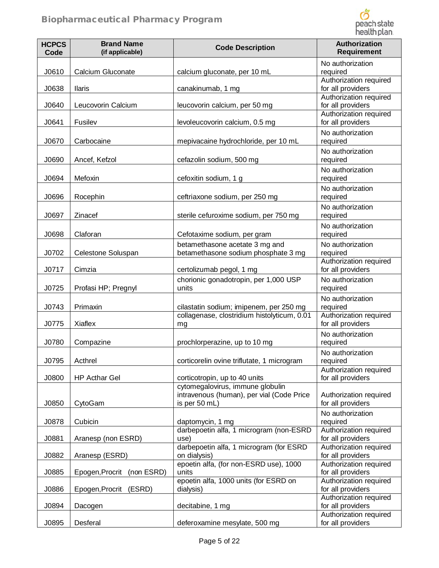

| <b>HCPCS</b><br>Code | <b>Brand Name</b><br>(if applicable) | <b>Code Description</b>                                                                        | <b>Authorization</b><br><b>Requirement</b>  |
|----------------------|--------------------------------------|------------------------------------------------------------------------------------------------|---------------------------------------------|
| J0610                | Calcium Gluconate                    | calcium gluconate, per 10 mL                                                                   | No authorization<br>required                |
| J0638                | <b>Ilaris</b>                        | canakinumab, 1 mg                                                                              | Authorization required<br>for all providers |
| J0640                | Leucovorin Calcium                   | leucovorin calcium, per 50 mg                                                                  | Authorization required<br>for all providers |
| J0641                | Fusilev                              | levoleucovorin calcium, 0.5 mg                                                                 | Authorization required<br>for all providers |
| J0670                | Carbocaine                           | mepivacaine hydrochloride, per 10 mL                                                           | No authorization<br>required                |
| J0690                | Ancef, Kefzol                        | cefazolin sodium, 500 mg                                                                       | No authorization<br>required                |
| J0694                | Mefoxin                              | cefoxitin sodium, 1 g                                                                          | No authorization<br>required                |
| J0696                | Rocephin                             | ceftriaxone sodium, per 250 mg                                                                 | No authorization<br>required                |
| J0697                | Zinacef                              | sterile cefuroxime sodium, per 750 mg                                                          | No authorization<br>required                |
| J0698                | Claforan                             | Cefotaxime sodium, per gram                                                                    | No authorization<br>required                |
| J0702                | Celestone Soluspan                   | betamethasone acetate 3 mg and<br>betamethasone sodium phosphate 3 mg                          | No authorization<br>required                |
| J0717                | Cimzia                               | certolizumab pegol, 1 mg                                                                       | Authorization required<br>for all providers |
| J0725                | Profasi HP; Pregnyl                  | chorionic gonadotropin, per 1,000 USP<br>units                                                 | No authorization<br>required                |
| J0743                | Primaxin                             | cilastatin sodium; imipenem, per 250 mg                                                        | No authorization<br>required                |
| J0775                | Xiaflex                              | collagenase, clostridium histolyticum, 0.01<br>mg                                              | Authorization required<br>for all providers |
| J0780                | Compazine                            | prochlorperazine, up to 10 mg                                                                  | No authorization<br>required                |
| J0795                | Acthrel                              | corticorelin ovine triflutate, 1 microgram                                                     | No authorization<br>required                |
| J0800                | <b>HP Acthar Gel</b>                 | corticotropin, up to 40 units                                                                  | Authorization required<br>for all providers |
| J0850                | CytoGam                              | cytomegalovirus, immune globulin<br>intravenous (human), per vial (Code Price<br>is per 50 mL) | Authorization required<br>for all providers |
| J0878                | Cubicin                              | daptomycin, 1 mg                                                                               | No authorization<br>required                |
| J0881                | Aranesp (non ESRD)                   | darbepoetin alfa, 1 microgram (non-ESRD<br>use)                                                | Authorization required<br>for all providers |
| J0882                | Aranesp (ESRD)                       | darbepoetin alfa, 1 microgram (for ESRD<br>on dialysis)                                        | Authorization required<br>for all providers |
| J0885                | Epogen, Procrit (non ESRD)           | epoetin alfa, (for non-ESRD use), 1000<br>units                                                | Authorization required<br>for all providers |
| J0886                | Epogen, Procrit (ESRD)               | epoetin alfa, 1000 units (for ESRD on<br>dialysis)                                             | Authorization required<br>for all providers |
| J0894                | Dacogen                              | decitabine, 1 mg                                                                               | Authorization required<br>for all providers |
| J0895                | Desferal                             | deferoxamine mesylate, 500 mg                                                                  | Authorization required<br>for all providers |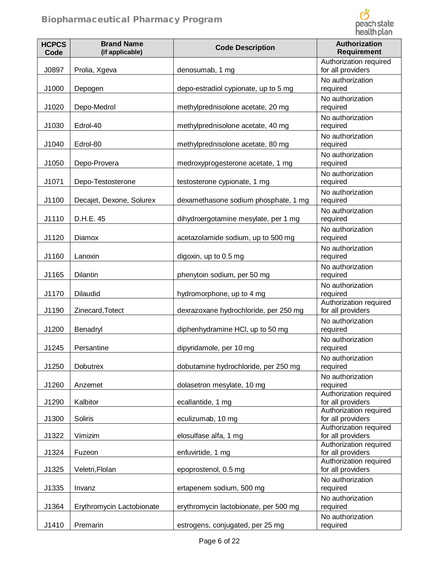

| <b>HCPCS</b><br>Code | <b>Brand Name</b><br>(if applicable) | <b>Code Description</b>               | Authorization<br><b>Requirement</b>         |
|----------------------|--------------------------------------|---------------------------------------|---------------------------------------------|
| J0897                | Prolia, Xgeva                        | denosumab, 1 mg                       | Authorization required<br>for all providers |
| J1000                | Depogen                              | depo-estradiol cypionate, up to 5 mg  | No authorization<br>required                |
| J1020                | Depo-Medrol                          | methylprednisolone acetate, 20 mg     | No authorization<br>required                |
| J1030                | Edrol-40                             | methylprednisolone acetate, 40 mg     | No authorization<br>required                |
| J1040                | Edrol-80                             | methylprednisolone acetate, 80 mg     | No authorization<br>required                |
| J1050                | Depo-Provera                         | medroxyprogesterone acetate, 1 mg     | No authorization<br>required                |
| J1071                | Depo-Testosterone                    | testosterone cypionate, 1 mg          | No authorization<br>required                |
| J1100                | Decajet, Dexone, Solurex             | dexamethasone sodium phosphate, 1 mg  | No authorization<br>required                |
| J1110                | D.H.E. 45                            | dihydroergotamine mesylate, per 1 mg  | No authorization<br>required                |
| J1120                | Diamox                               | acetazolamide sodium, up to 500 mg    | No authorization<br>required                |
| J1160                | Lanoxin                              | digoxin, up to 0.5 mg                 | No authorization<br>required                |
| J1165                | Dilantin                             | phenytoin sodium, per 50 mg           | No authorization<br>required                |
| J1170                | <b>Dilaudid</b>                      | hydromorphone, up to 4 mg             | No authorization<br>required                |
| J1190                | Zinecard, Totect                     | dexrazoxane hydrochloride, per 250 mg | Authorization required<br>for all providers |
| J1200                | Benadryl                             | diphenhydramine HCI, up to 50 mg      | No authorization<br>required                |
| J1245                | Persantine                           | dipyridamole, per 10 mg               | No authorization<br>required                |
| J1250                | <b>Dobutrex</b>                      | dobutamine hydrochloride, per 250 mg  | No authorization<br>required                |
| J1260                | Anzemet                              | dolasetron mesylate, 10 mg            | No authorization<br>required                |
| J1290                | Kalbitor                             | ecallantide, 1 mg                     | Authorization required<br>for all providers |
| J1300                | Soliris                              | eculizumab, 10 mg                     | Authorization required<br>for all providers |
| J1322                | Vimizim                              | elosulfase alfa, 1 mg                 | Authorization required<br>for all providers |
| J1324                | Fuzeon                               | enfuvirtide, 1 mg                     | Authorization required<br>for all providers |
| J1325                | Veletri, Flolan                      | epoprostenol, 0.5 mg                  | Authorization required<br>for all providers |
| J1335                | Invanz                               | ertapenem sodium, 500 mg              | No authorization<br>required                |
| J1364                | Erythromycin Lactobionate            | erythromycin lactobionate, per 500 mg | No authorization<br>required                |
| J1410                | Premarin                             | estrogens, conjugated, per 25 mg      | No authorization<br>required                |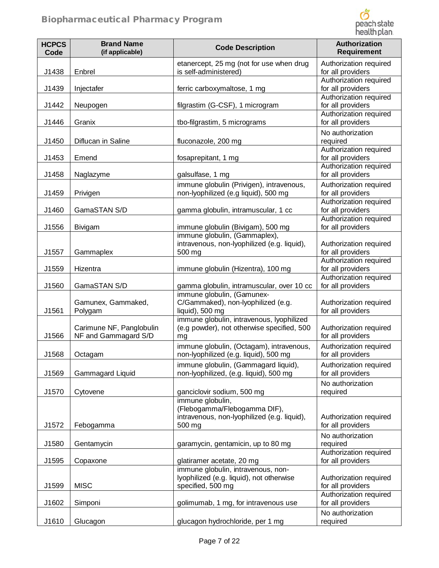

| <b>HCPCS</b><br>Code | <b>Brand Name</b><br>(if applicable)             | <b>Code Description</b>                                                                         | Authorization<br><b>Requirement</b>                    |
|----------------------|--------------------------------------------------|-------------------------------------------------------------------------------------------------|--------------------------------------------------------|
| J1438                | Enbrel                                           | etanercept, 25 mg (not for use when drug<br>is self-administered)                               | Authorization required<br>for all providers            |
| J1439                | Injectafer                                       | ferric carboxymaltose, 1 mg                                                                     | Authorization required<br>for all providers            |
| J1442                | Neupogen                                         | filgrastim (G-CSF), 1 microgram                                                                 | Authorization required<br>for all providers            |
| J1446                | Granix                                           | tbo-filgrastim, 5 micrograms                                                                    | Authorization required<br>for all providers            |
| J1450                | Diflucan in Saline                               | fluconazole, 200 mg                                                                             | No authorization<br>required                           |
| J1453                | Emend                                            | fosaprepitant, 1 mg                                                                             | Authorization required<br>for all providers            |
| J1458                | Naglazyme                                        | galsulfase, 1 mg                                                                                | Authorization required<br>for all providers            |
| J1459                | Privigen                                         | immune globulin (Privigen), intravenous,<br>non-lyophilized (e.g liquid), 500 mg                | Authorization required<br>for all providers            |
| J1460                | GamaSTAN S/D                                     | gamma globulin, intramuscular, 1 cc                                                             | Authorization required<br>for all providers            |
| J1556                | Bivigam                                          | immune globulin (Bivigam), 500 mg                                                               | Authorization required<br>for all providers            |
| J1557                | Gammaplex                                        | immune globulin, (Gammaplex),<br>intravenous, non-lyophilized (e.g. liquid),<br>500 mg          | Authorization required<br>for all providers            |
| J1559                | Hizentra                                         | immune globulin (Hizentra), 100 mg                                                              | Authorization required<br>for all providers            |
| J1560                | GamaSTAN S/D                                     | gamma globulin, intramuscular, over 10 cc                                                       | Authorization required<br>for all providers            |
| J1561                | Gamunex, Gammaked,<br>Polygam                    | immune globulin, (Gamunex-<br>C/Gammaked), non-lyophilized (e.g.<br>liquid), 500 mg             | Authorization required<br>for all providers            |
| J1566                | Carimune NF, Panglobulin<br>NF and Gammagard S/D | immune globulin, intravenous, lyophilized<br>(e.g powder), not otherwise specified, 500<br>mg   | Authorization required<br>for all providers            |
| J1568                | Octagam                                          | immune globulin, (Octagam), intravenous,<br>non-lyophilized (e.g. liquid), 500 mg               | Authorization required<br>for all providers            |
| J1569                | Gammagard Liquid                                 | immune globulin, (Gammagard liquid),<br>non-lyophilized, (e.g. liquid), 500 mg                  | Authorization required<br>for all providers            |
| J1570                | Cytovene                                         | ganciclovir sodium, 500 mg                                                                      | No authorization<br>required                           |
|                      |                                                  | immune globulin,<br>(Flebogamma/Flebogamma DIF),<br>intravenous, non-lyophilized (e.g. liquid), | Authorization required                                 |
| J1572                | Febogamma                                        | 500 mg                                                                                          | for all providers                                      |
| J1580                | Gentamycin                                       | garamycin, gentamicin, up to 80 mg                                                              | No authorization<br>required<br>Authorization required |
| J1595                | Copaxone                                         | glatiramer acetate, 20 mg<br>immune globulin, intravenous, non-                                 | for all providers                                      |
| J1599                | <b>MISC</b>                                      | lyophilized (e.g. liquid), not otherwise<br>specified, 500 mg                                   | Authorization required<br>for all providers            |
| J1602                | Simponi                                          | golimumab, 1 mg, for intravenous use                                                            | Authorization required<br>for all providers            |
| J1610                | Glucagon                                         | glucagon hydrochloride, per 1 mg                                                                | No authorization<br>required                           |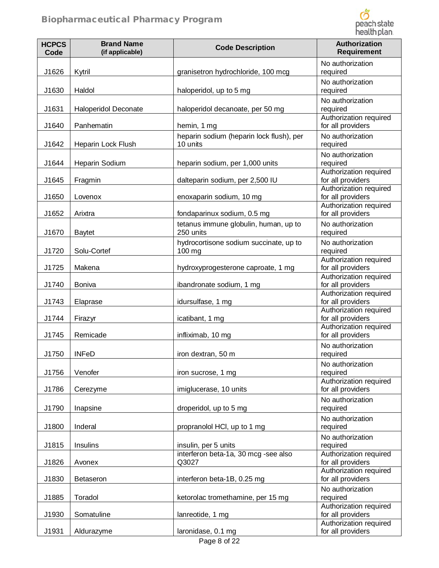

| <b>HCPCS</b><br>Code | <b>Brand Name</b><br>(if applicable) | <b>Code Description</b>                              | Authorization<br><b>Requirement</b>                                   |
|----------------------|--------------------------------------|------------------------------------------------------|-----------------------------------------------------------------------|
| J1626                | Kytril                               | granisetron hydrochloride, 100 mcg                   | No authorization<br>required                                          |
| J1630                | Haldol                               | haloperidol, up to 5 mg                              | No authorization<br>required                                          |
| J1631                | <b>Haloperidol Deconate</b>          | haloperidol decanoate, per 50 mg                     | No authorization<br>required                                          |
| J1640                | Panhematin                           | hemin, 1 mg                                          | Authorization required<br>for all providers                           |
| J1642                | Heparin Lock Flush                   | heparin sodium (heparin lock flush), per<br>10 units | No authorization<br>required                                          |
| J1644                | Heparin Sodium                       | heparin sodium, per 1,000 units                      | No authorization<br>required                                          |
| J1645                | Fragmin                              | dalteparin sodium, per 2,500 IU                      | Authorization required<br>for all providers                           |
| J1650                | Lovenox                              | enoxaparin sodium, 10 mg                             | Authorization required<br>for all providers                           |
| J1652                | Arixtra                              | fondaparinux sodium, 0.5 mg                          | Authorization required<br>for all providers                           |
| J1670                | <b>Baytet</b>                        | tetanus immune globulin, human, up to<br>250 units   | No authorization<br>required                                          |
| J1720                | Solu-Cortef                          | hydrocortisone sodium succinate, up to<br>100 mg     | No authorization<br>required                                          |
| J1725                | Makena                               | hydroxyprogesterone caproate, 1 mg                   | Authorization required<br>for all providers                           |
| J1740                | Boniva                               | ibandronate sodium, 1 mg                             | Authorization required<br>for all providers                           |
| J1743                | Elaprase                             | idursulfase, 1 mg                                    | Authorization required<br>for all providers                           |
| J1744                | Firazyr                              | icatibant, 1 mg                                      | Authorization required<br>for all providers<br>Authorization required |
| J1745                | Remicade                             | infliximab, 10 mg                                    | for all providers<br>No authorization                                 |
| J1750                | <b>INFeD</b>                         | iron dextran, 50 m                                   | required                                                              |
| J1756                | Venofer                              | iron sucrose, 1 mg                                   | No authorization<br>required<br>Authorization required                |
| J1786                | Cerezyme                             | imiglucerase, 10 units                               | for all providers                                                     |
| J1790                | Inapsine                             | droperidol, up to 5 mg                               | No authorization<br>required                                          |
| J1800                | Inderal                              | propranolol HCI, up to 1 mg                          | No authorization<br>required                                          |
| J1815                | Insulins                             | insulin, per 5 units                                 | No authorization<br>required                                          |
| J1826                | Avonex                               | interferon beta-1a, 30 mcg -see also<br>Q3027        | Authorization required<br>for all providers                           |
| J1830                | <b>Betaseron</b>                     | interferon beta-1B, 0.25 mg                          | Authorization required<br>for all providers                           |
| J1885                | Toradol                              | ketorolac tromethamine, per 15 mg                    | No authorization<br>required                                          |
| J1930                | Somatuline                           | lanreotide, 1 mg                                     | Authorization required<br>for all providers                           |
| J1931                | Aldurazyme                           | laronidase, 0.1 mg                                   | Authorization required<br>for all providers                           |
|                      |                                      | Page 8 of 22                                         |                                                                       |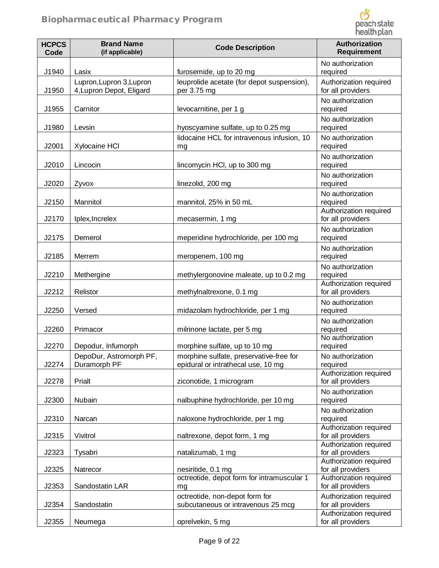

| <b>HCPCS</b><br>Code | <b>Brand Name</b><br>(if applicable)                 | <b>Code Description</b>                                                       | Authorization<br><b>Requirement</b>              |
|----------------------|------------------------------------------------------|-------------------------------------------------------------------------------|--------------------------------------------------|
| J1940                | Lasix                                                | furosemide, up to 20 mg                                                       | No authorization<br>required                     |
| J1950                | Lupron, Lupron 3, Lupron<br>4, Lupron Depot, Eligard | leuprolide acetate (for depot suspension),<br>per 3.75 mg                     | Authorization required<br>for all providers      |
| J1955                | Carnitor                                             | levocarnitine, per 1 g                                                        | No authorization<br>required                     |
| J1980                | Levsin                                               | hyoscyamine sulfate, up to 0.25 mg                                            | No authorization<br>required                     |
| J2001                | Xylocaine HCI                                        | lidocaine HCL for intravenous infusion, 10<br>mg                              | No authorization<br>required                     |
| J2010                | Lincocin                                             | lincomycin HCI, up to 300 mg                                                  | No authorization<br>required                     |
| J2020                | Zyvox                                                | linezolid, 200 mg                                                             | No authorization<br>required                     |
| J2150                | Mannitol                                             | mannitol, 25% in 50 mL                                                        | No authorization<br>required                     |
| J2170                | Iplex, Increlex                                      | mecasermin, 1 mg                                                              | Authorization required<br>for all providers      |
| J2175                | Demerol                                              | meperidine hydrochloride, per 100 mg                                          | No authorization<br>required                     |
| J2185                | Merrem                                               | meropenem, 100 mg                                                             | No authorization<br>required                     |
| J2210                | Methergine                                           | methylergonovine maleate, up to 0.2 mg                                        | No authorization<br>required                     |
| J2212                | Relistor                                             | methylnaltrexone, 0.1 mg                                                      | Authorization required<br>for all providers      |
| J2250                | Versed                                               | midazolam hydrochloride, per 1 mg                                             | No authorization<br>required                     |
| J2260                | Primacor                                             | milrinone lactate, per 5 mg                                                   | No authorization<br>required<br>No authorization |
| J2270                | Depodur, Infumorph                                   | morphine sulfate, up to 10 mg                                                 | required                                         |
| J2274                | DepoDur, Astromorph PF,<br>Duramorph PF              | morphine sulfate, preservative-free for<br>epidural or intrathecal use, 10 mg | No authorization<br>required                     |
| J2278                | Prialt                                               | ziconotide, 1 microgram                                                       | Authorization required<br>for all providers      |
| J2300                | Nubain                                               | nalbuphine hydrochloride, per 10 mg                                           | No authorization<br>required                     |
| J2310                | Narcan                                               | naloxone hydrochloride, per 1 mg                                              | No authorization<br>required                     |
| J2315                | Vivitrol                                             | naltrexone, depot form, 1 mg                                                  | Authorization required<br>for all providers      |
| J2323                | Tysabri                                              | natalizumab, 1 mg                                                             | Authorization required<br>for all providers      |
| J2325                | Natrecor                                             | nesiritide, 0.1 mg                                                            | Authorization required<br>for all providers      |
| J2353                | Sandostatin LAR                                      | octreotide, depot form for intramuscular 1<br>mg                              | Authorization required<br>for all providers      |
| J2354                | Sandostatin                                          | octreotide, non-depot form for<br>subcutaneous or intravenous 25 mcg          | Authorization required<br>for all providers      |
| J2355                | Neumega                                              | oprelvekin, 5 mg                                                              | Authorization required<br>for all providers      |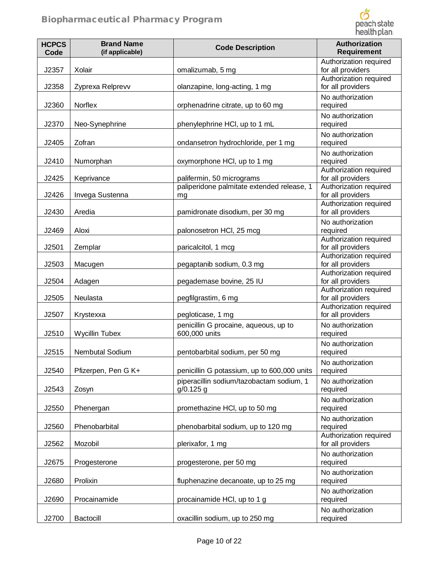

| <b>HCPCS</b><br>Code | <b>Brand Name</b><br>(if applicable) | <b>Code Description</b>                                | Authorization<br><b>Requirement</b>                    |
|----------------------|--------------------------------------|--------------------------------------------------------|--------------------------------------------------------|
| J2357                | Xolair                               | omalizumab, 5 mg                                       | Authorization required<br>for all providers            |
| J2358                | Zyprexa Relprevv                     | olanzapine, long-acting, 1 mg                          | Authorization required<br>for all providers            |
| J2360                | Norflex                              | orphenadrine citrate, up to 60 mg                      | No authorization<br>required                           |
| J2370                | Neo-Synephrine                       | phenylephrine HCI, up to 1 mL                          | No authorization<br>required                           |
| J2405                | Zofran                               | ondansetron hydrochloride, per 1 mg                    | No authorization<br>required                           |
| J2410                | Numorphan                            | oxymorphone HCI, up to 1 mg                            | No authorization<br>required<br>Authorization required |
| J2425                | Keprivance                           | palifermin, 50 micrograms                              | for all providers                                      |
| J2426                | Invega Sustenna                      | paliperidone palmitate extended release, 1<br>mg       | Authorization required<br>for all providers            |
| J2430                | Aredia                               | pamidronate disodium, per 30 mg                        | Authorization required<br>for all providers            |
| J2469                | Aloxi                                | palonosetron HCI, 25 mcg                               | No authorization<br>required                           |
| J2501                | Zemplar                              | paricalcitol, 1 mcg                                    | Authorization required<br>for all providers            |
| J2503                | Macugen                              | pegaptanib sodium, 0.3 mg                              | Authorization required<br>for all providers            |
| J2504                | Adagen                               | pegademase bovine, 25 IU                               | Authorization required<br>for all providers            |
| J2505                | Neulasta                             | pegfilgrastim, 6 mg                                    | Authorization required<br>for all providers            |
| J2507                | Krystexxa                            | pegloticase, 1 mg                                      | Authorization required<br>for all providers            |
| J2510                | Wycillin Tubex                       | penicillin G procaine, aqueous, up to<br>600,000 units | No authorization<br>required                           |
| J2515                | <b>Nembutal Sodium</b>               | pentobarbital sodium, per 50 mg                        | No authorization<br>required                           |
| J2540                | Pfizerpen, Pen G K+                  | penicillin G potassium, up to 600,000 units            | No authorization<br>required                           |
| J2543                | Zosyn                                | piperacillin sodium/tazobactam sodium, 1<br>g/0.125 g  | No authorization<br>required                           |
| J2550                | Phenergan                            | promethazine HCl, up to 50 mg                          | No authorization<br>required                           |
| J2560                | Phenobarbital                        | phenobarbital sodium, up to 120 mg                     | No authorization<br>required                           |
| J2562                | Mozobil                              | plerixafor, 1 mg                                       | Authorization required<br>for all providers            |
| J2675                | Progesterone                         | progesterone, per 50 mg                                | No authorization<br>required                           |
| J2680                | Prolixin                             | fluphenazine decanoate, up to 25 mg                    | No authorization<br>required                           |
| J2690                | Procainamide                         | procainamide HCI, up to 1 g                            | No authorization<br>required                           |
| J2700                | Bactocill                            | oxacillin sodium, up to 250 mg                         | No authorization<br>required                           |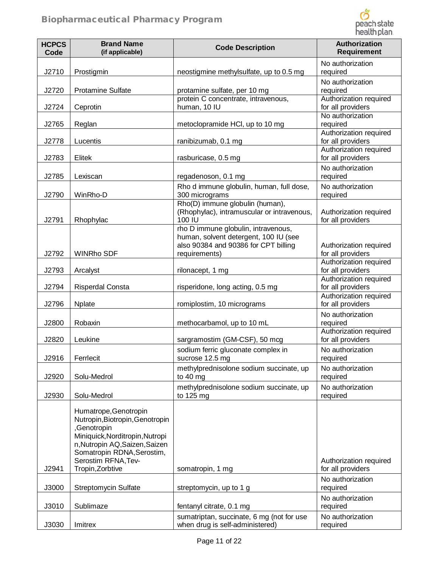

| <b>HCPCS</b><br>Code | <b>Brand Name</b><br>(if applicable)                                                                                                                                                                                  | <b>Code Description</b>                                                                                                               | <b>Authorization</b><br><b>Requirement</b>                                  |
|----------------------|-----------------------------------------------------------------------------------------------------------------------------------------------------------------------------------------------------------------------|---------------------------------------------------------------------------------------------------------------------------------------|-----------------------------------------------------------------------------|
| J2710                | Prostigmin                                                                                                                                                                                                            | neostigmine methylsulfate, up to 0.5 mg                                                                                               | No authorization<br>required                                                |
| J2720<br>J2724       | <b>Protamine Sulfate</b><br>Ceprotin                                                                                                                                                                                  | protamine sulfate, per 10 mg<br>protein C concentrate, intravenous,<br>human, 10 IU                                                   | No authorization<br>required<br>Authorization required<br>for all providers |
| J2765                | Reglan                                                                                                                                                                                                                | metoclopramide HCl, up to 10 mg                                                                                                       | No authorization<br>required                                                |
| J2778                | Lucentis                                                                                                                                                                                                              | ranibizumab, 0.1 mg                                                                                                                   | Authorization required<br>for all providers                                 |
| J2783                | Elitek                                                                                                                                                                                                                | rasburicase, 0.5 mg                                                                                                                   | Authorization required<br>for all providers                                 |
| J2785                | Lexiscan                                                                                                                                                                                                              | regadenoson, 0.1 mg                                                                                                                   | No authorization<br>required                                                |
| J2790                | WinRho-D                                                                                                                                                                                                              | Rho d immune globulin, human, full dose,<br>300 micrograms                                                                            | No authorization<br>required                                                |
| J2791                | Rhophylac                                                                                                                                                                                                             | Rho(D) immune globulin (human),<br>(Rhophylac), intramuscular or intravenous,<br>100 IU                                               | Authorization required<br>for all providers                                 |
| J2792                | <b>WINRho SDF</b>                                                                                                                                                                                                     | rho D immune globulin, intravenous,<br>human, solvent detergent, 100 IU (see<br>also 90384 and 90386 for CPT billing<br>requirements) | Authorization required<br>for all providers                                 |
| J2793                | Arcalyst                                                                                                                                                                                                              | rilonacept, 1 mg                                                                                                                      | Authorization required<br>for all providers                                 |
| J2794                | Risperdal Consta                                                                                                                                                                                                      | risperidone, long acting, 0.5 mg                                                                                                      | Authorization required<br>for all providers                                 |
| J2796                | Nplate                                                                                                                                                                                                                | romiplostim, 10 micrograms                                                                                                            | Authorization required<br>for all providers                                 |
| J2800                | Robaxin                                                                                                                                                                                                               | methocarbamol, up to 10 mL                                                                                                            | No authorization<br>required                                                |
| J2820                | Leukine                                                                                                                                                                                                               | sargramostim (GM-CSF), 50 mcg                                                                                                         | Authorization required<br>for all providers                                 |
| J2916                | Ferrlecit                                                                                                                                                                                                             | sodium ferric gluconate complex in<br>sucrose 12.5 mg                                                                                 | No authorization<br>required                                                |
| J2920                | Solu-Medrol                                                                                                                                                                                                           | methylprednisolone sodium succinate, up<br>to $40 \text{ mg}$                                                                         | No authorization<br>required                                                |
| J2930                | Solu-Medrol                                                                                                                                                                                                           | methylprednisolone sodium succinate, up<br>to 125 mg                                                                                  | No authorization<br>required                                                |
| J2941                | Humatrope, Genotropin<br>Nutropin, Biotropin, Genotropin<br>,Genotropin<br>Miniquick, Norditropin, Nutropi<br>n, Nutropin AQ, Saizen, Saizen<br>Somatropin RDNA, Serostim,<br>Serostim RFNA, Tev-<br>Tropin, Zorbtive |                                                                                                                                       | Authorization required<br>for all providers                                 |
|                      |                                                                                                                                                                                                                       | somatropin, 1 mg                                                                                                                      | No authorization                                                            |
| J3000                | <b>Streptomycin Sulfate</b>                                                                                                                                                                                           | streptomycin, up to 1 g                                                                                                               | required<br>No authorization                                                |
| J3010                | Sublimaze                                                                                                                                                                                                             | fentanyl citrate, 0.1 mg                                                                                                              | required                                                                    |
| J3030                | Imitrex                                                                                                                                                                                                               | sumatriptan, succinate, 6 mg (not for use<br>when drug is self-administered)                                                          | No authorization<br>required                                                |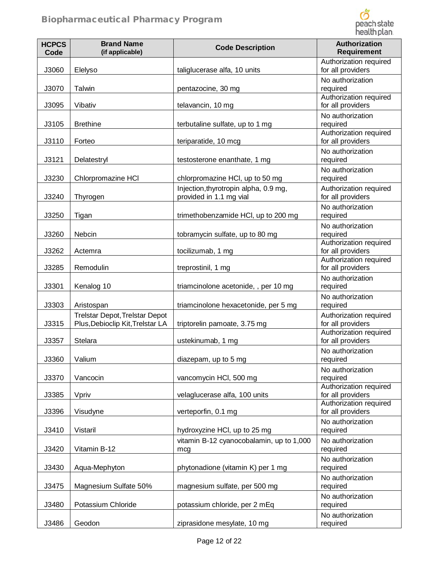

| <b>HCPCS</b><br>Code | <b>Brand Name</b><br>(if applicable)                               | <b>Code Description</b>                                          | Authorization<br><b>Requirement</b>         |
|----------------------|--------------------------------------------------------------------|------------------------------------------------------------------|---------------------------------------------|
| J3060                | Elelyso                                                            | taliglucerase alfa, 10 units                                     | Authorization required<br>for all providers |
| J3070                | Talwin                                                             | pentazocine, 30 mg                                               | No authorization<br>required                |
| J3095                | Vibativ                                                            | telavancin, 10 mg                                                | Authorization required<br>for all providers |
| J3105                | <b>Brethine</b>                                                    | terbutaline sulfate, up to 1 mg                                  | No authorization<br>required                |
| J3110                | Forteo                                                             | teriparatide, 10 mcg                                             | Authorization required<br>for all providers |
| J3121                | Delatestryl                                                        | testosterone enanthate, 1 mg                                     | No authorization<br>required                |
| J3230                | Chlorpromazine HCI                                                 | chlorpromazine HCl, up to 50 mg                                  | No authorization<br>required                |
| J3240                | Thyrogen                                                           | Injection, thyrotropin alpha, 0.9 mg,<br>provided in 1.1 mg vial | Authorization required<br>for all providers |
| J3250                | Tigan                                                              | trimethobenzamide HCI, up to 200 mg                              | No authorization<br>required                |
| J3260                | Nebcin                                                             | tobramycin sulfate, up to 80 mg                                  | No authorization<br>required                |
| J3262                | Actemra                                                            | tocilizumab, 1 mg                                                | Authorization required<br>for all providers |
| J3285                | Remodulin                                                          | treprostinil, 1 mg                                               | Authorization required<br>for all providers |
| J3301                | Kenalog 10                                                         | triamcinolone acetonide, , per 10 mg                             | No authorization<br>required                |
| J3303                | Aristospan                                                         | triamcinolone hexacetonide, per 5 mg                             | No authorization<br>required                |
| J3315                | Trelstar Depot, Trelstar Depot<br>Plus, Debioclip Kit, Trelstar LA | triptorelin pamoate, 3.75 mg                                     | Authorization required<br>for all providers |
| J3357                | Stelara                                                            | ustekinumab, 1 mg                                                | Authorization required<br>for all providers |
| J3360                | Valium                                                             | diazepam, up to 5 mg                                             | No authorization<br>required                |
| J3370                | Vancocin                                                           | vancomycin HCI, 500 mg                                           | No authorization<br>required                |
| J3385                | Vpriv                                                              | velaglucerase alfa, 100 units                                    | Authorization required<br>for all providers |
| J3396                | Visudyne                                                           | verteporfin, 0.1 mg                                              | Authorization required<br>for all providers |
| J3410                | Vistaril                                                           | hydroxyzine HCI, up to 25 mg                                     | No authorization<br>required                |
| J3420                | Vitamin B-12                                                       | vitamin B-12 cyanocobalamin, up to 1,000<br>mcg                  | No authorization<br>required                |
| J3430                | Aqua-Mephyton                                                      | phytonadione (vitamin K) per 1 mg                                | No authorization<br>required                |
| J3475                | Magnesium Sulfate 50%                                              | magnesium sulfate, per 500 mg                                    | No authorization<br>required                |
| J3480                | Potassium Chloride                                                 | potassium chloride, per 2 mEq                                    | No authorization<br>required                |
| J3486                | Geodon                                                             | ziprasidone mesylate, 10 mg                                      | No authorization<br>required                |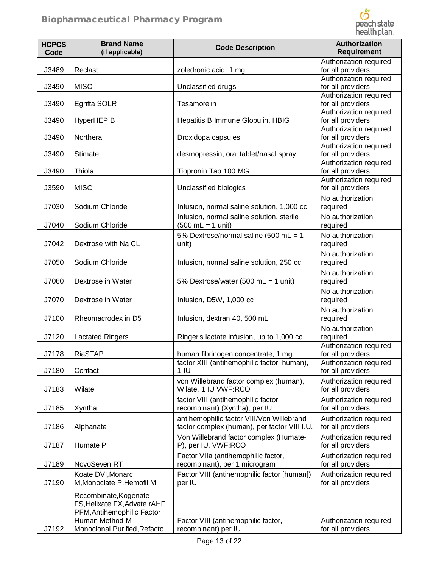

| Authorization required<br>for all providers<br>Authorization required<br>for all providers<br>Authorization required<br>for all providers<br>Authorization required<br>for all providers<br>Hepatitis B Immune Globulin, HBIG<br>Authorization required<br>for all providers<br>Authorization required<br>for all providers<br>desmopressin, oral tablet/nasal spray<br>Authorization required<br>for all providers<br>Authorization required<br>for all providers<br>No authorization<br>Infusion, normal saline solution, 1,000 cc<br>required<br>Infusion, normal saline solution, sterile<br>No authorization |
|-------------------------------------------------------------------------------------------------------------------------------------------------------------------------------------------------------------------------------------------------------------------------------------------------------------------------------------------------------------------------------------------------------------------------------------------------------------------------------------------------------------------------------------------------------------------------------------------------------------------|
|                                                                                                                                                                                                                                                                                                                                                                                                                                                                                                                                                                                                                   |
|                                                                                                                                                                                                                                                                                                                                                                                                                                                                                                                                                                                                                   |
|                                                                                                                                                                                                                                                                                                                                                                                                                                                                                                                                                                                                                   |
|                                                                                                                                                                                                                                                                                                                                                                                                                                                                                                                                                                                                                   |
|                                                                                                                                                                                                                                                                                                                                                                                                                                                                                                                                                                                                                   |
|                                                                                                                                                                                                                                                                                                                                                                                                                                                                                                                                                                                                                   |
|                                                                                                                                                                                                                                                                                                                                                                                                                                                                                                                                                                                                                   |
|                                                                                                                                                                                                                                                                                                                                                                                                                                                                                                                                                                                                                   |
|                                                                                                                                                                                                                                                                                                                                                                                                                                                                                                                                                                                                                   |
| required                                                                                                                                                                                                                                                                                                                                                                                                                                                                                                                                                                                                          |
| 5% Dextrose/normal saline (500 mL = 1<br>No authorization<br>required                                                                                                                                                                                                                                                                                                                                                                                                                                                                                                                                             |
| No authorization<br>Infusion, normal saline solution, 250 cc<br>required                                                                                                                                                                                                                                                                                                                                                                                                                                                                                                                                          |
| No authorization<br>5% Dextrose/water (500 mL = 1 unit)<br>required                                                                                                                                                                                                                                                                                                                                                                                                                                                                                                                                               |
| No authorization<br>required                                                                                                                                                                                                                                                                                                                                                                                                                                                                                                                                                                                      |
| No authorization<br>Infusion, dextran 40, 500 mL<br>required                                                                                                                                                                                                                                                                                                                                                                                                                                                                                                                                                      |
| No authorization<br>Ringer's lactate infusion, up to 1,000 cc<br>required                                                                                                                                                                                                                                                                                                                                                                                                                                                                                                                                         |
| Authorization required<br>for all providers<br>human fibrinogen concentrate, 1 mg<br>factor XIII (antihemophilic factor, human),<br>Authorization required<br>for all providers                                                                                                                                                                                                                                                                                                                                                                                                                                   |
| von Willebrand factor complex (human),<br>Authorization required<br>for all providers                                                                                                                                                                                                                                                                                                                                                                                                                                                                                                                             |
| factor VIII (antihemophilic factor,<br>Authorization required<br>for all providers<br>recombinant) (Xyntha), per IU                                                                                                                                                                                                                                                                                                                                                                                                                                                                                               |
| antihemophilic factor VIII/Von Willebrand<br>Authorization required<br>factor complex (human), per factor VIII I.U.<br>for all providers                                                                                                                                                                                                                                                                                                                                                                                                                                                                          |
| Von Willebrand factor complex (Humate-<br>Authorization required<br>for all providers                                                                                                                                                                                                                                                                                                                                                                                                                                                                                                                             |
| Authorization required<br>Factor VIIa (antihemophilic factor,<br>recombinant), per 1 microgram<br>for all providers                                                                                                                                                                                                                                                                                                                                                                                                                                                                                               |
| Factor VIII (antihemophilic factor [human])<br>Authorization required<br>for all providers                                                                                                                                                                                                                                                                                                                                                                                                                                                                                                                        |
|                                                                                                                                                                                                                                                                                                                                                                                                                                                                                                                                                                                                                   |
|                                                                                                                                                                                                                                                                                                                                                                                                                                                                                                                                                                                                                   |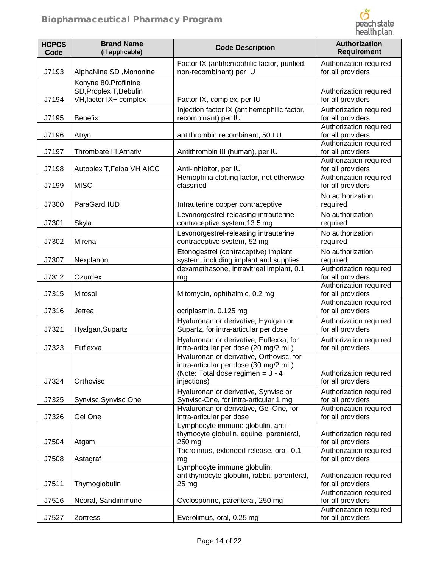

| <b>HCPCS</b><br>Code | <b>Brand Name</b><br>(if applicable)                                      | <b>Code Description</b>                                                                                                                                               | Authorization<br><b>Requirement</b>                                   |
|----------------------|---------------------------------------------------------------------------|-----------------------------------------------------------------------------------------------------------------------------------------------------------------------|-----------------------------------------------------------------------|
| J7193                | AlphaNine SD, Mononine                                                    | Factor IX (antihemophilic factor, purified,<br>non-recombinant) per IU                                                                                                | Authorization required<br>for all providers                           |
| J7194                | Konyne 80, Profilnine<br>SD, Proplex T, Bebulin<br>VH, factor IX+ complex | Factor IX, complex, per IU                                                                                                                                            | Authorization required<br>for all providers                           |
| J7195                | <b>Benefix</b>                                                            | Injection factor IX (antihemophilic factor,<br>recombinant) per IU                                                                                                    | Authorization required<br>for all providers                           |
| J7196                | Atryn                                                                     | antithrombin recombinant, 50 I.U.                                                                                                                                     | Authorization required<br>for all providers                           |
| J7197                | Thrombate III, Atnativ                                                    | Antithrombin III (human), per IU                                                                                                                                      | Authorization required<br>for all providers                           |
| J7198                | Autoplex T, Feiba VH AICC                                                 | Anti-inhibitor, per IU<br>Hemophilia clotting factor, not otherwise                                                                                                   | Authorization required<br>for all providers<br>Authorization required |
| J7199                | <b>MISC</b>                                                               | classified                                                                                                                                                            | for all providers                                                     |
| J7300                | ParaGard IUD                                                              | Intrauterine copper contraceptive                                                                                                                                     | No authorization<br>required                                          |
| J7301                | Skyla                                                                     | Levonorgestrel-releasing intrauterine<br>contraceptive system, 13.5 mg                                                                                                | No authorization<br>required                                          |
| J7302                | Mirena                                                                    | Levonorgestrel-releasing intrauterine<br>contraceptive system, 52 mg                                                                                                  | No authorization<br>required                                          |
| J7307                | Nexplanon                                                                 | Etonogestrel (contraceptive) implant<br>system, including implant and supplies                                                                                        | No authorization<br>required                                          |
| J7312                | Ozurdex                                                                   | dexamethasone, intravitreal implant, 0.1<br>mg                                                                                                                        | Authorization required<br>for all providers                           |
| J7315                | Mitosol                                                                   | Mitomycin, ophthalmic, 0.2 mg                                                                                                                                         | Authorization required<br>for all providers<br>Authorization required |
| J7316                | Jetrea                                                                    | ocriplasmin, 0.125 mg                                                                                                                                                 | for all providers                                                     |
| J7321                | Hyalgan, Supartz                                                          | Hyaluronan or derivative, Hyalgan or<br>Supartz, for intra-articular per dose                                                                                         | Authorization required<br>for all providers                           |
| J7323                | Euflexxa                                                                  | Hyaluronan or derivative, Euflexxa, for<br>intra-articular per dose (20 mg/2 mL)<br>Hyaluronan or derivative, Orthovisc, for<br>intra-articular per dose (30 mg/2 mL) | Authorization required<br>for all providers                           |
| J7324                | Orthovisc                                                                 | (Note: Total dose regimen = $3 - 4$<br>injections)                                                                                                                    | Authorization required<br>for all providers                           |
| J7325                | Synvisc, Synvisc One                                                      | Hyaluronan or derivative, Synvisc or<br>Synvisc-One, for intra-articular 1 mg                                                                                         | Authorization required<br>for all providers                           |
| J7326                | Gel One                                                                   | Hyaluronan or derivative, Gel-One, for<br>intra-articular per dose                                                                                                    | Authorization required<br>for all providers                           |
| J7504                | Atgam                                                                     | Lymphocyte immune globulin, anti-<br>thymocyte globulin, equine, parenteral,<br>250 mg                                                                                | Authorization required<br>for all providers                           |
| J7508                | Astagraf                                                                  | Tacrolimus, extended release, oral, 0.1<br>mg                                                                                                                         | Authorization required<br>for all providers                           |
| J7511                | Thymoglobulin                                                             | Lymphocyte immune globulin,<br>antithymocyte globulin, rabbit, parenteral,<br>25 <sub>mg</sub>                                                                        | Authorization required<br>for all providers                           |
| J7516                | Neoral, Sandimmune                                                        | Cyclosporine, parenteral, 250 mg                                                                                                                                      | Authorization required<br>for all providers                           |
| J7527                | Zortress                                                                  | Everolimus, oral, 0.25 mg                                                                                                                                             | Authorization required<br>for all providers                           |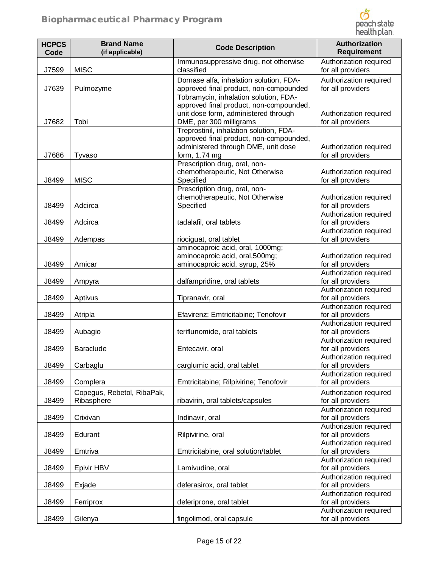

| <b>HCPCS</b><br>Code | <b>Brand Name</b><br>(if applicable)     | <b>Code Description</b>                                                            | Authorization<br><b>Requirement</b>         |
|----------------------|------------------------------------------|------------------------------------------------------------------------------------|---------------------------------------------|
| J7599                | <b>MISC</b>                              | Immunosuppressive drug, not otherwise<br>classified                                | Authorization required<br>for all providers |
| J7639                | Pulmozyme                                | Dornase alfa, inhalation solution, FDA-<br>approved final product, non-compounded  | Authorization required<br>for all providers |
|                      |                                          | Tobramycin, inhalation solution, FDA-                                              |                                             |
|                      |                                          | approved final product, non-compounded,<br>unit dose form, administered through    | Authorization required                      |
| J7682                | Tobi                                     | DME, per 300 milligrams                                                            | for all providers                           |
|                      |                                          | Treprostinil, inhalation solution, FDA-<br>approved final product, non-compounded, |                                             |
|                      |                                          | administered through DME, unit dose                                                | Authorization required                      |
| J7686                | Tyvaso                                   | form, 1.74 mg                                                                      | for all providers                           |
|                      |                                          | Prescription drug, oral, non-<br>chemotherapeutic, Not Otherwise                   | Authorization required                      |
| J8499                | <b>MISC</b>                              | Specified                                                                          | for all providers                           |
|                      |                                          | Prescription drug, oral, non-                                                      |                                             |
| J8499                | Adcirca                                  | chemotherapeutic, Not Otherwise<br>Specified                                       | Authorization required<br>for all providers |
|                      |                                          |                                                                                    | Authorization required                      |
| J8499                | Adcirca                                  | tadalafil, oral tablets                                                            | for all providers                           |
| J8499                | Adempas                                  | riociguat, oral tablet                                                             | Authorization required<br>for all providers |
|                      |                                          | aminocaproic acid, oral, 1000mg;                                                   |                                             |
|                      |                                          | aminocaproic acid, oral, 500mg;                                                    | Authorization required                      |
| J8499                | Amicar                                   | aminocaproic acid, syrup, 25%                                                      | for all providers<br>Authorization required |
| J8499                | Ampyra                                   | dalfampridine, oral tablets                                                        | for all providers                           |
|                      |                                          |                                                                                    | Authorization required                      |
| J8499                | Aptivus                                  | Tipranavir, oral                                                                   | for all providers<br>Authorization required |
| J8499                | Atripla                                  | Efavirenz; Emtricitabine; Tenofovir                                                | for all providers                           |
|                      |                                          |                                                                                    | Authorization required                      |
| J8499                | Aubagio                                  | teriflunomide, oral tablets                                                        | for all providers<br>Authorization required |
| J8499                | <b>Baraclude</b>                         | Entecavir, oral                                                                    | for all providers                           |
|                      |                                          |                                                                                    | Authorization required                      |
| J8499                | Carbaglu                                 | carglumic acid, oral tablet                                                        | for all providers<br>Authorization required |
| J8499                | Complera                                 | Emtricitabine; Rilpivirine; Tenofovir                                              | for all providers                           |
| J8499                | Copegus, Rebetol, RibaPak,<br>Ribasphere | ribavirin, oral tablets/capsules                                                   | Authorization required<br>for all providers |
|                      |                                          |                                                                                    | Authorization required                      |
| J8499                | Crixivan                                 | Indinavir, oral                                                                    | for all providers                           |
| J8499                | Edurant                                  | Rilpivirine, oral                                                                  | Authorization required<br>for all providers |
|                      |                                          |                                                                                    | Authorization required                      |
| J8499                | Emtriva                                  | Emtricitabine, oral solution/tablet                                                | for all providers<br>Authorization required |
| J8499                | Epivir HBV                               | Lamivudine, oral                                                                   | for all providers                           |
|                      |                                          |                                                                                    | Authorization required                      |
| J8499                | Exjade                                   | deferasirox, oral tablet                                                           | for all providers<br>Authorization required |
| J8499                | Ferriprox                                | deferiprone, oral tablet                                                           | for all providers                           |
| J8499                | Gilenya                                  | fingolimod, oral capsule                                                           | Authorization required<br>for all providers |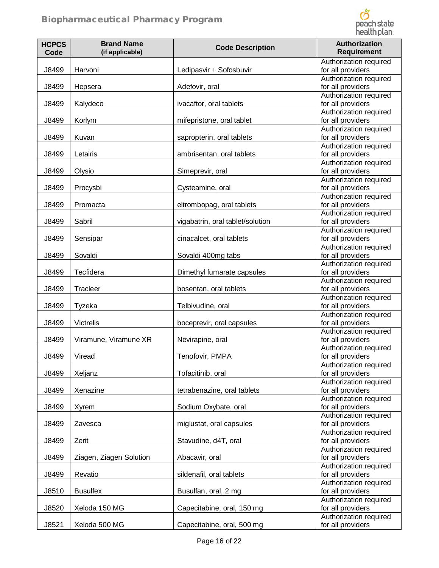

| <b>HCPCS</b><br>Code | <b>Brand Name</b><br>(if applicable) | <b>Code Description</b>          | Authorization<br><b>Requirement</b>                                   |
|----------------------|--------------------------------------|----------------------------------|-----------------------------------------------------------------------|
| J8499                | Harvoni                              | Ledipasvir + Sofosbuvir          | Authorization required<br>for all providers                           |
| J8499                | Hepsera                              | Adefovir, oral                   | Authorization required<br>for all providers                           |
| J8499                | Kalydeco                             | ivacaftor, oral tablets          | Authorization required<br>for all providers                           |
| J8499                | Korlym                               | mifepristone, oral tablet        | Authorization required<br>for all providers                           |
| J8499                | Kuvan                                | sapropterin, oral tablets        | Authorization required<br>for all providers                           |
| J8499                | Letairis                             | ambrisentan, oral tablets        | Authorization required<br>for all providers                           |
| J8499                | Olysio                               | Simeprevir, oral                 | Authorization required<br>for all providers                           |
| J8499                | Procysbi                             | Cysteamine, oral                 | Authorization required<br>for all providers<br>Authorization required |
| J8499                | Promacta                             | eltrombopag, oral tablets        | for all providers<br>Authorization required                           |
| J8499                | Sabril                               | vigabatrin, oral tablet/solution | for all providers                                                     |
| J8499                | Sensipar                             | cinacalcet, oral tablets         | Authorization required<br>for all providers                           |
| J8499                | Sovaldi                              | Sovaldi 400mg tabs               | Authorization required<br>for all providers<br>Authorization required |
| J8499                | Tecfidera                            | Dimethyl fumarate capsules       | for all providers                                                     |
| J8499                | Tracleer                             | bosentan, oral tablets           | Authorization required<br>for all providers                           |
| J8499                | Tyzeka                               | Telbivudine, oral                | Authorization required<br>for all providers                           |
| J8499                | <b>Victrelis</b>                     | boceprevir, oral capsules        | Authorization required<br>for all providers                           |
| J8499                | Viramune, Viramune XR                | Nevirapine, oral                 | Authorization required<br>for all providers                           |
| J8499                | Viread                               | Tenofovir, PMPA                  | Authorization required<br>for all providers                           |
| J8499                | Xeljanz                              | Tofacitinib, oral                | Authorization required<br>for all providers<br>Authorization required |
| J8499                | Xenazine                             | tetrabenazine, oral tablets      | for all providers                                                     |
| J8499                | Xyrem                                | Sodium Oxybate, oral             | Authorization required<br>for all providers                           |
| J8499                | Zavesca                              | miglustat, oral capsules         | Authorization required<br>for all providers                           |
| J8499                | Zerit                                | Stavudine, d4T, oral             | Authorization required<br>for all providers                           |
| J8499                | Ziagen, Ziagen Solution              | Abacavir, oral                   | Authorization required<br>for all providers                           |
| J8499                | Revatio                              | sildenafil, oral tablets         | Authorization required<br>for all providers                           |
| J8510                | <b>Busulfex</b>                      | Busulfan, oral, 2 mg             | Authorization required<br>for all providers                           |
| J8520                | Xeloda 150 MG                        | Capecitabine, oral, 150 mg       | Authorization required<br>for all providers                           |
| J8521                | Xeloda 500 MG                        | Capecitabine, oral, 500 mg       | Authorization required<br>for all providers                           |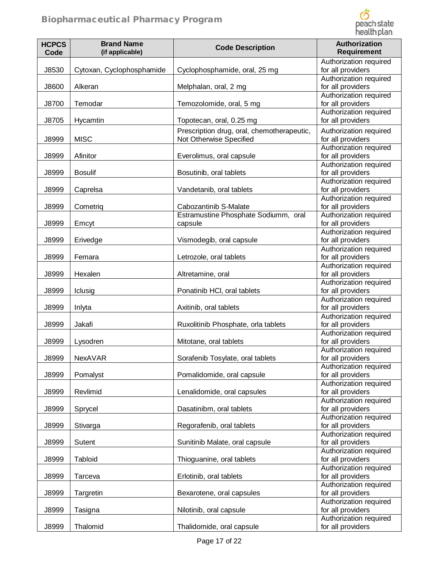

| <b>HCPCS</b><br>Code | <b>Brand Name</b><br>(if applicable) | <b>Code Description</b>                                               | Authorization<br><b>Requirement</b>         |
|----------------------|--------------------------------------|-----------------------------------------------------------------------|---------------------------------------------|
| J8530                | Cytoxan, Cyclophosphamide            | Cyclophosphamide, oral, 25 mg                                         | Authorization required<br>for all providers |
| J8600                | Alkeran                              | Melphalan, oral, 2 mg                                                 | Authorization required<br>for all providers |
| J8700                | Temodar                              | Temozolomide, oral, 5 mg                                              | Authorization required<br>for all providers |
| J8705                | Hycamtin                             | Topotecan, oral, 0.25 mg                                              | Authorization required<br>for all providers |
| J8999                | <b>MISC</b>                          | Prescription drug, oral, chemotherapeutic,<br>Not Otherwise Specified | Authorization required<br>for all providers |
| J8999                | Afinitor                             | Everolimus, oral capsule                                              | Authorization required<br>for all providers |
| J8999                | <b>Bosulif</b>                       | Bosutinib, oral tablets                                               | Authorization required<br>for all providers |
| J8999                | Caprelsa                             | Vandetanib, oral tablets                                              | Authorization required<br>for all providers |
| J8999                | Cometrig                             | Cabozantinib S-Malate                                                 | Authorization required<br>for all providers |
| J8999                | Emcyt                                | Estramustine Phosphate Sodiumm, oral<br>capsule                       | Authorization required<br>for all providers |
| J8999                | Erivedge                             | Vismodegib, oral capsule                                              | Authorization required<br>for all providers |
| J8999                | Femara                               | Letrozole, oral tablets                                               | Authorization required<br>for all providers |
| J8999                | Hexalen                              | Altretamine, oral                                                     | Authorization required<br>for all providers |
| J8999                | Iclusig                              | Ponatinib HCI, oral tablets                                           | Authorization required<br>for all providers |
| J8999                | Inlyta                               | Axitinib, oral tablets                                                | Authorization required<br>for all providers |
| J8999                | Jakafi                               | Ruxolitinib Phosphate, orla tablets                                   | Authorization required<br>for all providers |
| J8999                | Lysodren                             | Mitotane, oral tablets                                                | Authorization required<br>for all providers |
| J8999                | <b>NexAVAR</b>                       | Sorafenib Tosylate, oral tablets                                      | Authorization required<br>for all providers |
| J8999                | Pomalyst                             | Pomalidomide, oral capsule                                            | Authorization required<br>for all providers |
| J8999                | Revlimid                             | Lenalidomide, oral capsules                                           | Authorization required<br>for all providers |
| J8999                | Sprycel                              | Dasatinibm, oral tablets                                              | Authorization required<br>for all providers |
| J8999                | Stivarga                             | Regorafenib, oral tablets                                             | Authorization required<br>for all providers |
| J8999                | Sutent                               | Sunitinib Malate, oral capsule                                        | Authorization required<br>for all providers |
| J8999                | Tabloid                              | Thioguanine, oral tablets                                             | Authorization required<br>for all providers |
| J8999                | Tarceva                              | Erlotinib, oral tablets                                               | Authorization required<br>for all providers |
| J8999                | Targretin                            | Bexarotene, oral capsules                                             | Authorization required<br>for all providers |
| J8999                | Tasigna                              | Nilotinib, oral capsule                                               | Authorization required<br>for all providers |
| J8999                | Thalomid                             | Thalidomide, oral capsule                                             | Authorization required<br>for all providers |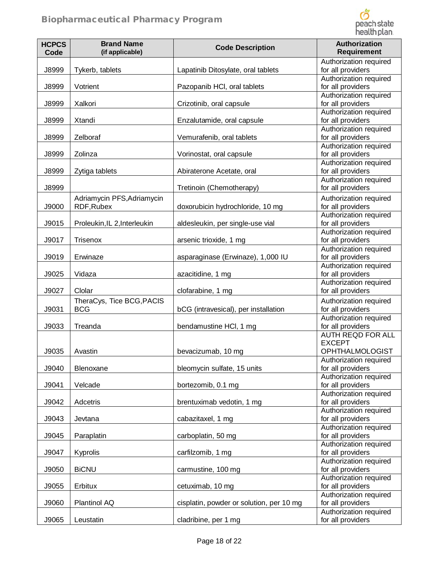

| <b>HCPCS</b><br>Code | <b>Brand Name</b><br>(if applicable)     | <b>Code Description</b>                  | <b>Authorization</b><br><b>Requirement</b>                            |
|----------------------|------------------------------------------|------------------------------------------|-----------------------------------------------------------------------|
| J8999                | Tykerb, tablets                          | Lapatinib Ditosylate, oral tablets       | Authorization required<br>for all providers                           |
| J8999                | Votrient                                 | Pazopanib HCI, oral tablets              | Authorization required<br>for all providers                           |
| J8999                | Xalkori                                  | Crizotinib, oral capsule                 | Authorization required<br>for all providers                           |
| J8999                | Xtandi                                   | Enzalutamide, oral capsule               | Authorization required<br>for all providers                           |
| J8999                | Zelboraf                                 | Vemurafenib, oral tablets                | Authorization required<br>for all providers                           |
| J8999                | Zolinza                                  | Vorinostat, oral capsule                 | Authorization required<br>for all providers<br>Authorization required |
| J8999                | Zytiga tablets                           | Abiraterone Acetate, oral                | for all providers                                                     |
| J8999                |                                          | Tretinoin (Chemotherapy)                 | Authorization required<br>for all providers                           |
| J9000                | Adriamycin PFS, Adriamycin<br>RDF, Rubex | doxorubicin hydrochloride, 10 mg         | Authorization required<br>for all providers                           |
| J9015                | Proleukin, IL 2, Interleukin             | aldesleukin, per single-use vial         | Authorization required<br>for all providers                           |
| J9017                | <b>Trisenox</b>                          | arsenic trioxide, 1 mg                   | Authorization required<br>for all providers<br>Authorization required |
| J9019                | Erwinaze                                 | asparaginase (Erwinaze), 1,000 IU        | for all providers                                                     |
| J9025                | Vidaza                                   | azacitidine, 1 mg                        | Authorization required<br>for all providers                           |
| J9027                | Clolar                                   | clofarabine, 1 mg                        | Authorization required<br>for all providers                           |
| J9031                | TheraCys, Tice BCG, PACIS<br><b>BCG</b>  | bCG (intravesical), per installation     | Authorization required<br>for all providers                           |
| J9033                | Treanda                                  | bendamustine HCI, 1 mg                   | Authorization required<br>for all providers                           |
| J9035                | Avastin                                  | bevacizumab, 10 mg                       | <b>AUTH REQD FOR ALL</b><br><b>EXCEPT</b><br><b>OPHTHALMOLOGIST</b>   |
| J9040                | Blenoxane                                | bleomycin sulfate, 15 units              | Authorization required<br>for all providers                           |
| J9041                | Velcade                                  | bortezomib, 0.1 mg                       | Authorization required<br>for all providers                           |
| J9042                | Adcetris                                 | brentuximab vedotin, 1 mg                | Authorization required<br>for all providers                           |
| J9043                | Jevtana                                  | cabazitaxel, 1 mg                        | Authorization required<br>for all providers                           |
| J9045                | Paraplatin                               | carboplatin, 50 mg                       | Authorization required<br>for all providers<br>Authorization required |
| J9047                | Kyprolis                                 | carfilzomib, 1 mg                        | for all providers                                                     |
| J9050                | <b>BiCNU</b>                             | carmustine, 100 mg                       | Authorization required<br>for all providers                           |
| J9055                | Erbitux                                  | cetuximab, 10 mg                         | Authorization required<br>for all providers                           |
| J9060                | Plantinol AQ                             | cisplatin, powder or solution, per 10 mg | Authorization required<br>for all providers                           |
| J9065                | Leustatin                                | cladribine, per 1 mg                     | Authorization required<br>for all providers                           |
|                      |                                          |                                          |                                                                       |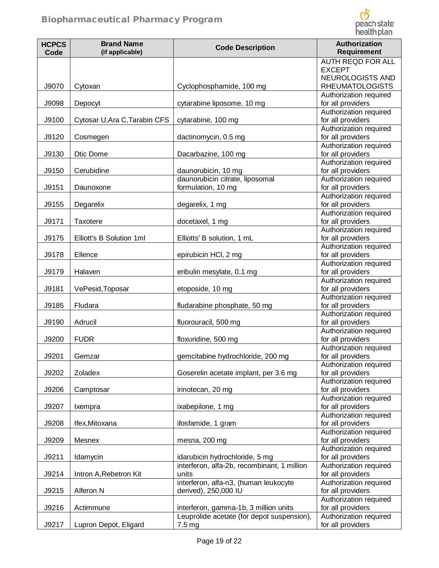

| <b>HCPCS</b><br>Code | <b>Brand Name</b><br>(if applicable) | <b>Code Description</b>                                       | Authorization<br><b>Requirement</b>         |
|----------------------|--------------------------------------|---------------------------------------------------------------|---------------------------------------------|
|                      |                                      |                                                               | <b>AUTH REQD FOR ALL</b><br><b>EXCEPT</b>   |
| J9070                | Cytoxan                              | Cyclophosphamide, 100 mg                                      | NEUROLOGISTS AND<br><b>RHEUMATOLOGISTS</b>  |
| J9098                | Depocyt                              | cytarabine liposome, 10 mg                                    | Authorization required<br>for all providers |
| J9100                | Cytosar U, Ara C, Tarabin CFS        | cytarabine, 100 mg                                            | Authorization required<br>for all providers |
| J9120                | Cosmegen                             | dactinomycin, 0.5 mg                                          | Authorization required<br>for all providers |
| J9130                | Dtic Dome                            | Dacarbazine, 100 mg                                           | Authorization required<br>for all providers |
| J9150                | Cerubidine                           | daunorubicin, 10 mg                                           | Authorization required<br>for all providers |
| J9151                | Daunoxone                            | daunorubicin citrate, liposomal<br>formulation, 10 mg         | Authorization required<br>for all providers |
| J9155                | Degarelix                            | degarelix, 1 mg                                               | Authorization required<br>for all providers |
| J9171                | Taxotere                             | docetaxel, 1 mg                                               | Authorization required<br>for all providers |
| J9175                | Elliott's B Solution 1ml             | Elliotts' B solution, 1 mL                                    | Authorization required<br>for all providers |
| J9178                | Ellence                              | epirubicin HCI, 2 mg                                          | Authorization required<br>for all providers |
| J9179                | Halaven                              | eribulin mesylate, 0.1 mg                                     | Authorization required<br>for all providers |
| J9181                | VePesid, Toposar                     | etoposide, 10 mg                                              | Authorization required<br>for all providers |
| J9185                | Fludara                              | fludarabine phosphate, 50 mg                                  | Authorization required<br>for all providers |
| J9190                | Adrucil                              | fluorouracil, 500 mg                                          | Authorization required<br>for all providers |
| J9200                | <b>FUDR</b>                          | floxuridine, 500 mg                                           | Authorization required<br>for all providers |
| J9201                | Gemzar                               | gemcitabine hydrochloride, 200 mg                             | Authorization required<br>for all providers |
| J9202                | <b>Zoladex</b>                       | Goserelin acetate implant, per 3.6 mg                         | Authorization required<br>for all providers |
| J9206                | Camptosar                            | irinotecan, 20 mg                                             | Authorization required<br>for all providers |
| J9207                | Ixempra                              | ixabepilone, 1 mg                                             | Authorization required<br>for all providers |
| J9208                | Ifex, Mitoxana                       | ifosfamide, 1 gram                                            | Authorization required<br>for all providers |
| J9209                | Mesnex                               | mesna, 200 mg                                                 | Authorization required<br>for all providers |
| J9211                | Idamycin                             | idarubicin hydrochloride, 5 mg                                | Authorization required<br>for all providers |
| J9214                | Intron A, Rebetron Kit               | interferon, alfa-2b, recombinant, 1 million<br>units          | Authorization required<br>for all providers |
| J9215                | Alferon N                            | interferon, alfa-n3, (human leukocyte<br>derived), 250,000 IU | Authorization required<br>for all providers |
| J9216                | Actimmune                            | interferon, gamma-1b, 3 million units                         | Authorization required<br>for all providers |
| J9217                | Lupron Depot, Eligard                | Leuprolide acetate (for depot suspension),<br>7.5 mg          | Authorization required<br>for all providers |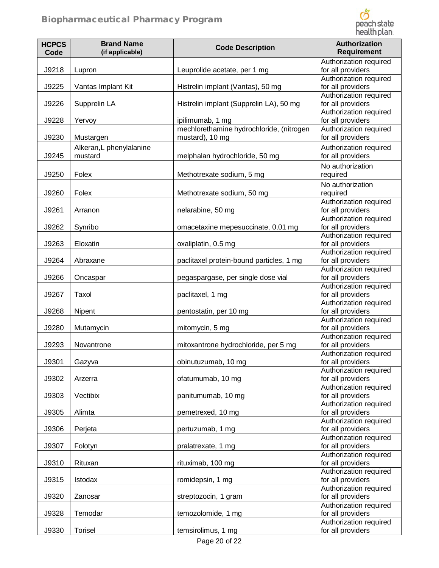

| <b>HCPCS</b><br>Code | <b>Brand Name</b><br>(if applicable) | <b>Code Description</b>                                     | Authorization<br><b>Requirement</b>                                   |
|----------------------|--------------------------------------|-------------------------------------------------------------|-----------------------------------------------------------------------|
| J9218                | Lupron                               | Leuprolide acetate, per 1 mg                                | Authorization required<br>for all providers                           |
| J9225                | Vantas Implant Kit                   | Histrelin implant (Vantas), 50 mg                           | Authorization required<br>for all providers                           |
| J9226                | Supprelin LA                         | Histrelin implant (Supprelin LA), 50 mg                     | Authorization required<br>for all providers                           |
| J9228                | Yervoy                               | ipilimumab, 1 mg                                            | Authorization required<br>for all providers                           |
| J9230                | Mustargen                            | mechlorethamine hydrochloride, (nitrogen<br>mustard), 10 mg | Authorization required<br>for all providers                           |
| J9245                | Alkeran, L phenylalanine<br>mustard  | melphalan hydrochloride, 50 mg                              | Authorization required<br>for all providers                           |
| J9250                | Folex                                | Methotrexate sodium, 5 mg                                   | No authorization<br>required                                          |
| J9260                | Folex                                | Methotrexate sodium, 50 mg                                  | No authorization<br>required                                          |
| J9261                | Arranon                              | nelarabine, 50 mg                                           | Authorization required<br>for all providers                           |
| J9262                | Synribo                              | omacetaxine mepesuccinate, 0.01 mg                          | Authorization required<br>for all providers                           |
| J9263                | Eloxatin                             | oxaliplatin, 0.5 mg                                         | Authorization required<br>for all providers                           |
| J9264                | Abraxane                             | paclitaxel protein-bound particles, 1 mg                    | Authorization required<br>for all providers                           |
| J9266                | Oncaspar                             | pegaspargase, per single dose vial                          | Authorization required<br>for all providers                           |
| J9267                | Taxol                                | paclitaxel, 1 mg                                            | Authorization required<br>for all providers                           |
| J9268                | Nipent                               | pentostatin, per 10 mg                                      | Authorization required<br>for all providers                           |
| J9280                | Mutamycin                            | mitomycin, 5 mg                                             | Authorization required<br>for all providers                           |
| J9293                | Novantrone                           | mitoxantrone hydrochloride, per 5 mg                        | Authorization required<br>for all providers                           |
| J9301                | Gazyva                               | obinutuzumab, 10 mg                                         | Authorization required<br>for all providers<br>Authorization required |
| J9302                | Arzerra                              | ofatumumab, 10 mg                                           | for all providers<br>Authorization required                           |
| J9303                | Vectibix                             | panitumumab, 10 mg                                          | for all providers                                                     |
| J9305                | Alimta                               | pemetrexed, 10 mg                                           | Authorization required<br>for all providers                           |
| J9306                | Perjeta                              | pertuzumab, 1 mg                                            | Authorization required<br>for all providers                           |
| J9307                | Folotyn                              | pralatrexate, 1 mg                                          | Authorization required<br>for all providers                           |
| J9310                | Rituxan                              | rituximab, 100 mg                                           | Authorization required<br>for all providers                           |
| J9315                | Istodax                              | romidepsin, 1 mg                                            | Authorization required<br>for all providers                           |
| J9320                | Zanosar                              | streptozocin, 1 gram                                        | Authorization required<br>for all providers                           |
| J9328                | Temodar                              | temozolomide, 1 mg                                          | Authorization required<br>for all providers                           |
| J9330                | <b>Torisel</b>                       | temsirolimus, 1 mg                                          | Authorization required<br>for all providers                           |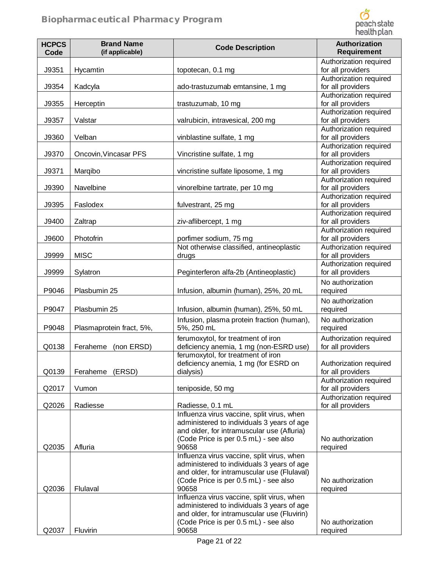

| <b>HCPCS</b><br>Code | <b>Brand Name</b><br>(if applicable) | <b>Code Description</b>                                                                  | Authorization<br><b>Requirement</b>         |
|----------------------|--------------------------------------|------------------------------------------------------------------------------------------|---------------------------------------------|
|                      |                                      |                                                                                          | Authorization required                      |
| J9351                | Hycamtin                             | topotecan, 0.1 mg                                                                        | for all providers                           |
|                      |                                      |                                                                                          | Authorization required                      |
| J9354                | Kadcyla                              | ado-trastuzumab emtansine, 1 mg                                                          | for all providers                           |
|                      |                                      |                                                                                          | Authorization required                      |
| J9355                | Herceptin                            | trastuzumab, 10 mg                                                                       | for all providers                           |
|                      |                                      |                                                                                          | Authorization required                      |
| J9357                | Valstar                              | valrubicin, intravesical, 200 mg                                                         | for all providers<br>Authorization required |
| J9360                | Velban                               | vinblastine sulfate, 1 mg                                                                | for all providers                           |
|                      |                                      |                                                                                          | Authorization required                      |
| J9370                | Oncovin, Vincasar PFS                | Vincristine sulfate, 1 mg                                                                | for all providers                           |
|                      |                                      |                                                                                          | Authorization required                      |
| J9371                | Marqibo                              | vincristine sulfate liposome, 1 mg                                                       | for all providers<br>Authorization required |
| J9390                | Navelbine                            | vinorelbine tartrate, per 10 mg                                                          | for all providers                           |
|                      |                                      |                                                                                          | Authorization required                      |
| J9395                | Faslodex                             | fulvestrant, 25 mg                                                                       | for all providers                           |
|                      |                                      |                                                                                          | Authorization required                      |
| J9400                | Zaltrap                              | ziv-aflibercept, 1 mg                                                                    | for all providers                           |
| J9600                | Photofrin                            | porfimer sodium, 75 mg                                                                   | Authorization required<br>for all providers |
|                      |                                      | Not otherwise classified, antineoplastic                                                 | Authorization required                      |
| J9999                | <b>MISC</b>                          | drugs                                                                                    | for all providers                           |
|                      |                                      |                                                                                          | Authorization required                      |
| J9999                | Sylatron                             | Peginterferon alfa-2b (Antineoplastic)                                                   | for all providers                           |
|                      |                                      |                                                                                          | No authorization                            |
| P9046                | Plasbumin 25                         | Infusion, albumin (human), 25%, 20 mL                                                    | required                                    |
| P9047                | Plasbumin 25                         | Infusion, albumin (human), 25%, 50 mL                                                    | No authorization<br>required                |
|                      |                                      | Infusion, plasma protein fraction (human),                                               | No authorization                            |
| P9048                | Plasmaprotein fract, 5%,             | 5%, 250 mL                                                                               | required                                    |
|                      |                                      | ferumoxytol, for treatment of iron                                                       | Authorization required                      |
| Q0138                | Feraheme<br>(non ERSD)               | deficiency anemia, 1 mg (non-ESRD use)                                                   | for all providers                           |
|                      |                                      | ferumoxytol, for treatment of iron                                                       |                                             |
|                      |                                      | deficiency anemia, 1 mg (for ESRD on                                                     | Authorization required                      |
| Q0139                | (ERSD)<br>Feraheme                   | dialysis)                                                                                | for all providers                           |
| Q2017                | Vumon                                | teniposide, 50 mg                                                                        | Authorization required<br>for all providers |
|                      |                                      |                                                                                          | Authorization required                      |
| Q2026                | Radiesse                             | Radiesse, 0.1 mL                                                                         | for all providers                           |
|                      |                                      | Influenza virus vaccine, split virus, when                                               |                                             |
|                      |                                      | administered to individuals 3 years of age<br>and older, for intramuscular use (Afluria) |                                             |
|                      |                                      | (Code Price is per 0.5 mL) - see also                                                    | No authorization                            |
| Q2035                | Afluria                              | 90658                                                                                    | required                                    |
|                      |                                      | Influenza virus vaccine, split virus, when                                               |                                             |
|                      |                                      | administered to individuals 3 years of age                                               |                                             |
|                      |                                      | and older, for intramuscular use (Flulaval)<br>(Code Price is per 0.5 mL) - see also     | No authorization                            |
| Q2036                | Flulaval                             | 90658                                                                                    | required                                    |
|                      |                                      | Influenza virus vaccine, split virus, when                                               |                                             |
|                      |                                      | administered to individuals 3 years of age                                               |                                             |
|                      |                                      | and older, for intramuscular use (Fluvirin)                                              |                                             |
| Q2037                | Fluvirin                             | (Code Price is per 0.5 mL) - see also<br>90658                                           | No authorization<br>required                |
|                      |                                      |                                                                                          |                                             |